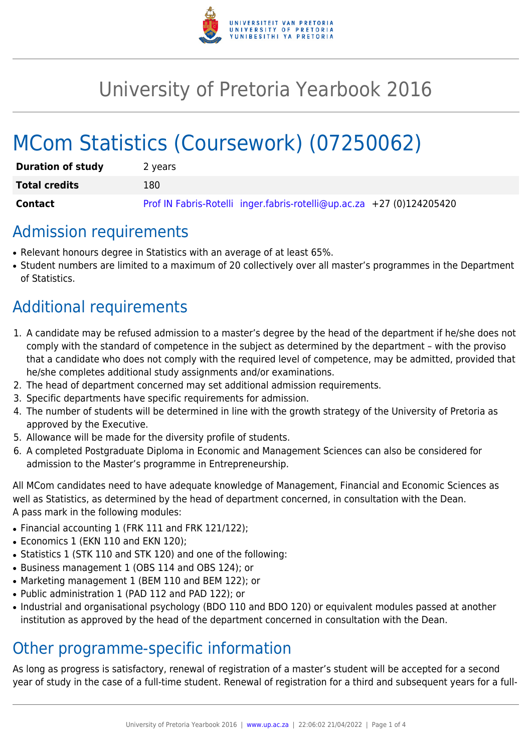

# University of Pretoria Yearbook 2016

# MCom Statistics (Coursework) (07250062)

| <b>Duration of study</b> | 2 years                                                               |
|--------------------------|-----------------------------------------------------------------------|
| <b>Total credits</b>     | 180                                                                   |
| Contact                  | Prof IN Fabris-Rotelli inger.fabris-rotelli@up.ac.za +27 (0)124205420 |

### Admission requirements

- Relevant honours degree in Statistics with an average of at least 65%.
- Student numbers are limited to a maximum of 20 collectively over all master's programmes in the Department of Statistics.

# Additional requirements

- 1. A candidate may be refused admission to a master's degree by the head of the department if he/she does not comply with the standard of competence in the subject as determined by the department – with the proviso that a candidate who does not comply with the required level of competence, may be admitted, provided that he/she completes additional study assignments and/or examinations.
- 2. The head of department concerned may set additional admission requirements.
- 3. Specific departments have specific requirements for admission.
- 4. The number of students will be determined in line with the growth strategy of the University of Pretoria as approved by the Executive.
- 5. Allowance will be made for the diversity profile of students.
- 6. A completed Postgraduate Diploma in Economic and Management Sciences can also be considered for admission to the Master's programme in Entrepreneurship.

All MCom candidates need to have adequate knowledge of Management, Financial and Economic Sciences as well as Statistics, as determined by the head of department concerned, in consultation with the Dean. A pass mark in the following modules:

- Financial accounting 1 (FRK 111 and FRK 121/122);
- Economics 1 (EKN 110 and EKN 120);
- Statistics 1 (STK 110 and STK 120) and one of the following:
- Business management 1 (OBS 114 and OBS 124); or
- Marketing management 1 (BEM 110 and BEM 122); or
- Public administration 1 (PAD 112 and PAD 122); or
- Industrial and organisational psychology (BDO 110 and BDO 120) or equivalent modules passed at another institution as approved by the head of the department concerned in consultation with the Dean.

### Other programme-specific information

As long as progress is satisfactory, renewal of registration of a master's student will be accepted for a second year of study in the case of a full-time student. Renewal of registration for a third and subsequent years for a full-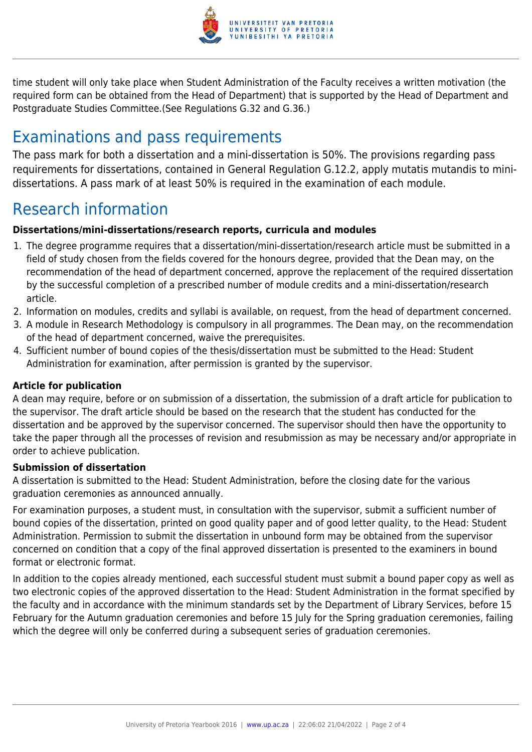

time student will only take place when Student Administration of the Faculty receives a written motivation (the required form can be obtained from the Head of Department) that is supported by the Head of Department and Postgraduate Studies Committee.(See Regulations G.32 and G.36.)

## Examinations and pass requirements

The pass mark for both a dissertation and a mini-dissertation is 50%. The provisions regarding pass requirements for dissertations, contained in General Regulation G.12.2, apply mutatis mutandis to minidissertations. A pass mark of at least 50% is required in the examination of each module.

## Research information

#### **Dissertations/mini-dissertations/research reports, curricula and modules**

- 1. The degree programme requires that a dissertation/mini-dissertation/research article must be submitted in a field of study chosen from the fields covered for the honours degree, provided that the Dean may, on the recommendation of the head of department concerned, approve the replacement of the required dissertation by the successful completion of a prescribed number of module credits and a mini-dissertation/research article.
- 2. Information on modules, credits and syllabi is available, on request, from the head of department concerned.
- 3. A module in Research Methodology is compulsory in all programmes. The Dean may, on the recommendation of the head of department concerned, waive the prerequisites.
- 4. Sufficient number of bound copies of the thesis/dissertation must be submitted to the Head: Student Administration for examination, after permission is granted by the supervisor.

#### **Article for publication**

A dean may require, before or on submission of a dissertation, the submission of a draft article for publication to the supervisor. The draft article should be based on the research that the student has conducted for the dissertation and be approved by the supervisor concerned. The supervisor should then have the opportunity to take the paper through all the processes of revision and resubmission as may be necessary and/or appropriate in order to achieve publication.

#### **Submission of dissertation**

A dissertation is submitted to the Head: Student Administration, before the closing date for the various graduation ceremonies as announced annually.

For examination purposes, a student must, in consultation with the supervisor, submit a sufficient number of bound copies of the dissertation, printed on good quality paper and of good letter quality, to the Head: Student Administration. Permission to submit the dissertation in unbound form may be obtained from the supervisor concerned on condition that a copy of the final approved dissertation is presented to the examiners in bound format or electronic format.

In addition to the copies already mentioned, each successful student must submit a bound paper copy as well as two electronic copies of the approved dissertation to the Head: Student Administration in the format specified by the faculty and in accordance with the minimum standards set by the Department of Library Services, before 15 February for the Autumn graduation ceremonies and before 15 July for the Spring graduation ceremonies, failing which the degree will only be conferred during a subsequent series of graduation ceremonies.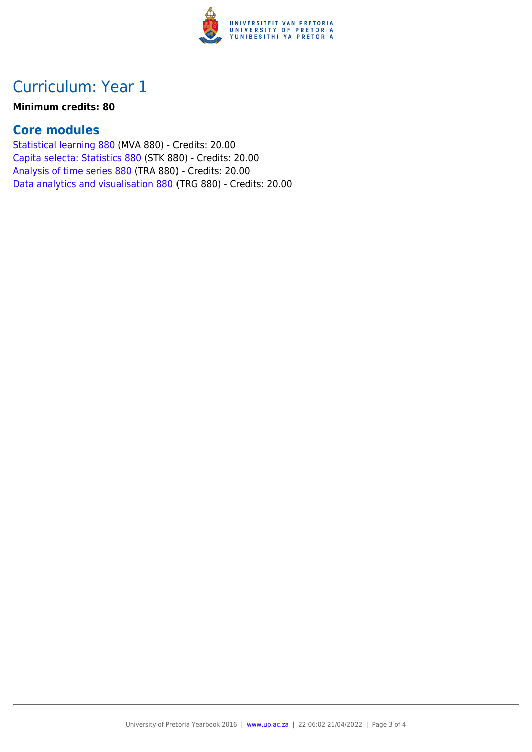

### Curriculum: Year 1

#### **Minimum credits: 80**

#### **Core modules**

[Statistical learning 880](https://www.up.ac.za/mechanical-and-aeronautical-engineering/yearbooks/2016/modules/view/MVA 880) (MVA 880) - Credits: 20.00 [Capita selecta: Statistics 880](https://www.up.ac.za/mechanical-and-aeronautical-engineering/yearbooks/2016/modules/view/STK 880) (STK 880) - Credits: 20.00 [Analysis of time series 880](https://www.up.ac.za/mechanical-and-aeronautical-engineering/yearbooks/2016/modules/view/TRA 880) (TRA 880) - Credits: 20.00 [Data analytics and visualisation 880](https://www.up.ac.za/mechanical-and-aeronautical-engineering/yearbooks/2016/modules/view/TRG 880) (TRG 880) - Credits: 20.00